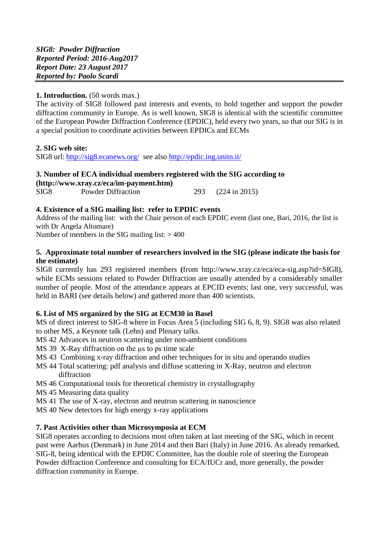#### **1. Introduction.** (50 words max.)

The activity of SIG8 followed past interests and events, to hold together and support the powder diffraction community in Europe. As is well known, SIG8 is identical with the scientific committee of the European Powder Diffraction Conference (EPDIC), held every two years, so that our SIG is in a special position to coordinate activities between EPDICs and ECMs

#### **2. SIG web site:**

SIG8 url: <http://sig8.ecanews.org/> see also<http://epdic.ing.unitn.it/>

# **3. Number of ECA individual members registered with the SIG according to [\(http://www.xray.cz/eca/im-payment.htm\)](http://www.xray.cz/eca/im-payment.htm)**

SIG8 Powder Diffraction 293 (224 in 2015)

#### **4. Existence of a SIG mailing list: refer to EPDIC events**

Address of the mailing list: with the Chair person of each EPDIC event (last one, Bari, 2016, the list is with Dr Angela Altomare)

Number of members in the SIG mailing list:  $> 400$ 

#### **5. Approximate total number of researchers involved in the SIG (please indicate the basis for the estimate)**

SIG8 currently has 293 registered members **(**from http://www.xray.cz/eca/eca-sig.asp?id=SIG8), while ECMs sessions related to Powder Diffraction are usually attended by a considerably smaller number of people. Most of the attendance appears at EPCID events; last one, very successful, was held in BARI (see details below) and gathered more than 400 scientists.

## **6. List of MS organized by the SIG at ECM30 in Basel**

MS of direct interest to SIG-8 where in Focus Area 5 (including SIG 6, 8, 9). SIG8 was also related to other MS, a Keynote talk (Lehn) and Plenary talks.

- MS 42 Advances in neutron scattering under non-ambient conditions
- MS 39 X-Ray diffraction on the  $\mu$ s to ps time scale
- MS 43 Combining x-ray diffraction and other techniques for in situ and operando studies
- MS 44 Total scattering: pdf analysis and diffuse scattering in X-Ray, neutron and electron diffraction
- MS 46 Computational tools for theoretical chemistry in crystallography
- MS 45 Measuring data quality
- MS 41 The use of X-ray, electron and neutron scattering in nanoscience
- MS 40 New detectors for high energy x-ray applications

## **7. Past Activities other than Microsymposia at ECM**

SIG8 operates according to decisions most often taken at last meeting of the SIG, which in recent past were Aarhus (Denmark) in June 2014 and then Bari (Italy) in June 2016. As already remarked, SIG-8, being identical with the EPDIC Committee, has the double role of steering the European Powder diffraction Conference and consulting for ECA/IUCr and, more generally, the powder diffraction community in Europe.